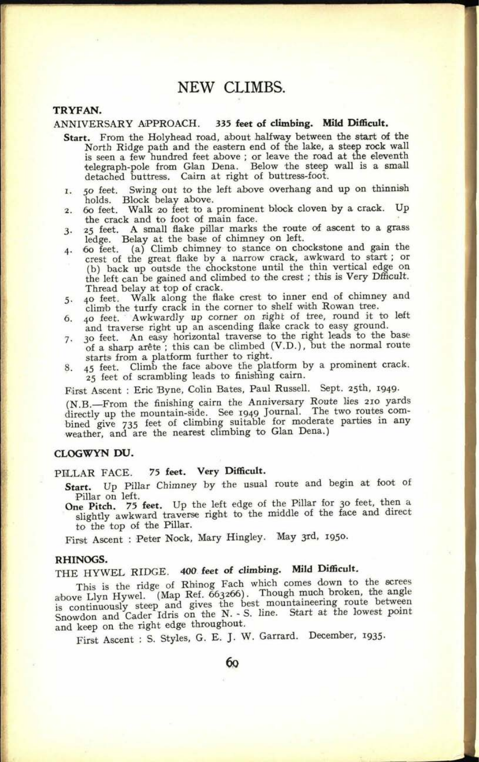## **NEW CLIMBS.**

## **TRYFAN.**

## ANNIVERSARY APPROACH. **335 feet of climbing. Mild Difficult.**

- **Start.** From the Holyhead road, about halfway between the start of the North Ridge path and the eastern end of the lake, a steep rock wall is seen a few hundred feet above ; or leave the road at the eleventh telegraph-pole from Glan Dena. Below the steep wall is a small detached buttress. Cairn at right of buttress-foot.
- 1. 50 feet. Swing out to the left above overhang and up on thinnish holds. Block belay above.
- 2. 60 feet. Walk 20 feet to a prominent block cloven by a crack. Up the crack and to foot of main face.
- 3. 25 feet. A small flake pillar marks the route *of* ascent to a grass
- ledge. Belay at the base of chimney on left. 4. 60 feet, (a) Climb chimney to stance on chockstone and gain the crest of the great flake by a narrow crack, awkward to start ; or (b) back up outsde the chockstone until the thin vertical edge on the left can be gained and climbed to the crest ; this is Very Dfficult.
- Thread belay at top of crack.<br>5. 40 feet. Walk along the fla 5. 40 feet. Walk along the flake crest to inner end of chimney and climb the turfy crack in the corner to shelf with Rowan tree.
- *6.* 40 feet. Awkwardly up corner on right of tree, round it to left and traverse right up an ascending flake crack to easy ground.
- 7. 30 feet. An easy horizontal traverse to the right leads to the base of a sharp arete ; this can be climbed (V.D.), but the normal route starts from a platform further to right.
- 45 feet. Climb the face above the platform by a prominent crack. <sup>25</sup>feet of scrambling leads to finishing cairn.

First Ascent : Eric Byne, Colin Bates, Paul Russell. Sept. 25th, 1949.

(N.B. From the finishing cairn the Anniversary Route lies 210 yards directly up the mountain-side. See 1949 Journal. The two routes combined give 735 feet of climbing suitable for moderate parties in any weather, and are the nearest climbing to Glan Dena.)

## CLOGWYN **DU.**

## PILLAR FACE. 75 **feet. Very Difficult.**

- **Start.** Up Pillar Chimney by the usual route and begin at foot of Pillar on left.
- **One Pitch.** 75 **feet.** Up the left edge of the Pillar for 30 feet, then <sup>a</sup> slightly awkward traverse right to the middle of the face and direct to the top of the Pillar.

First Ascent : Peter Nock, Mary Hingley. May 3rd, 1950.

#### **RHINOGS.**

# THE HYWEL RIDGE. **400 feet of climbing. Mild Difficult.**

This is the ridge of Rhinog Fach which comes down to the screes above Llyn Hywel. (Map Ref. 663266). Though much broken, the angle is continuously steep and gives the best mountaineering route between Snowdon and Cader Idris on the N. - S. line. Start at the lowest point and keep on the right edge throughout.

First Ascent : S. Styles, G. E. J. W. Garrard. December, 1935.